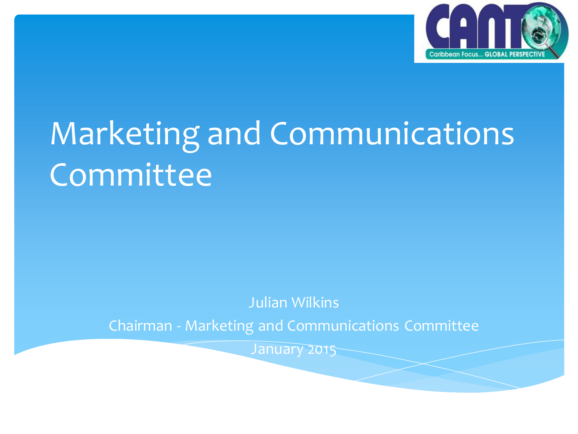

# Marketing and Communications **Committee**

Julian Wilkins

Chairman - Marketing and Communications Committee

January 2015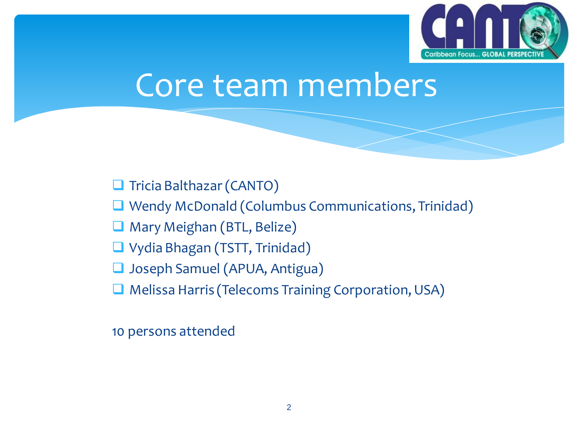

## Core team members

Tricia Balthazar (CANTO)

**Q** Wendy McDonald (Columbus Communications, Trinidad)

Mary Meighan (BTL, Belize)

■ Vydia Bhagan (TSTT, Trinidad)

Joseph Samuel (APUA, Antigua)

Melissa Harris (Telecoms Training Corporation, USA)

10 persons attended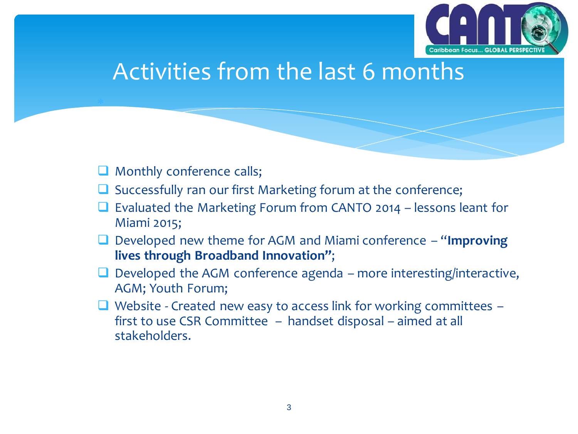

### Activities from the last 6 months

**Q** Monthly conference calls;

×

- $\Box$  Successfully ran our first Marketing forum at the conference;
- $\Box$  Evaluated the Marketing Forum from CANTO 2014 lessons leant for Miami 2015;
- Developed new theme for AGM and Miami conference "**Improving lives through Broadband Innovation"**;
- Developed the AGM conference agenda more interesting/interactive, AGM; Youth Forum;
- $\Box$  Website Created new easy to access link for working committees  $$ first to use CSR Committee – handset disposal – aimed at all stakeholders.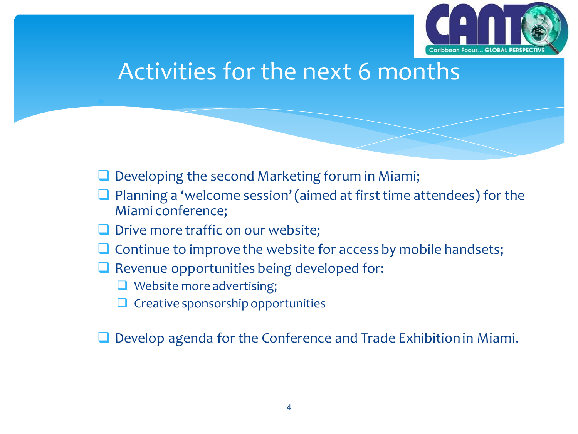

#### Activities for the next 6 months

- Developing the second Marketing forum in Miami;
- $\Box$  Planning a 'welcome session' (aimed at first time attendees) for the Miami conference;
- $\Box$  Drive more traffic on our website;
- Continue to improve the website for access by mobile handsets;
- $\Box$  Revenue opportunities being developed for:
	- Website more advertising;

×

 $\Box$  Creative sponsorship opportunities

Develop agenda for the Conference and Trade Exhibition in Miami.